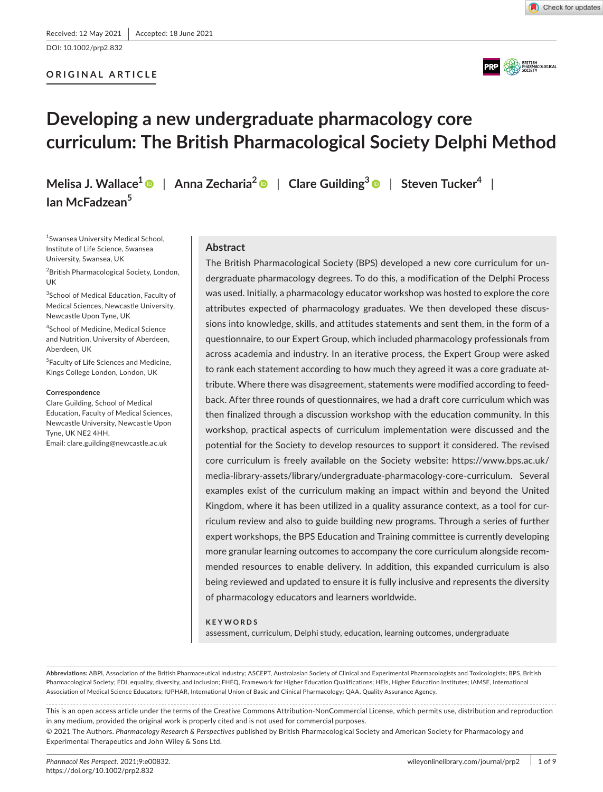DOI: 10.1002/prp2.832

# **ORIGINAL ARTICLE**





# **Developing a new undergraduate pharmacology core curriculum: The British Pharmacological Society Delphi Method**

**Melisa J. Wallace[1](https://orcid.org/0000-0001-7471-9833)** | **Anna Zecharia2** | **Clare Guilding[3](https://orcid.org/0000-0003-2823-1575)** | **Steven Tucker4** |

1 Swansea University Medical School, Institute of Life Science, Swansea University, Swansea, UK

**Ian McFadzean5**

<sup>2</sup>British Pharmacological Society, London, UK

3 School of Medical Education, Faculty of Medical Sciences, Newcastle University, Newcastle Upon Tyne, UK

4 School of Medicine, Medical Science and Nutrition, University of Aberdeen, Aberdeen, UK

5 Faculty of Life Sciences and Medicine, Kings College London, London, UK

#### **Correspondence**

Clare Guilding, School of Medical Education, Faculty of Medical Sciences, Newcastle University, Newcastle Upon Tyne, UK NE2 4HH. Email: [clare.guilding@newcastle.ac.uk](mailto:clare.guilding@newcastle.ac.uk)

#### **Abstract**

The British Pharmacological Society (BPS) developed a new core curriculum for undergraduate pharmacology degrees. To do this, a modification of the Delphi Process was used. Initially, a pharmacology educator workshop was hosted to explore the core attributes expected of pharmacology graduates. We then developed these discussions into knowledge, skills, and attitudes statements and sent them, in the form of a questionnaire, to our Expert Group, which included pharmacology professionals from across academia and industry. In an iterative process, the Expert Group were asked to rank each statement according to how much they agreed it was a core graduate attribute. Where there was disagreement, statements were modified according to feedback. After three rounds of questionnaires, we had a draft core curriculum which was then finalized through a discussion workshop with the education community. In this workshop, practical aspects of curriculum implementation were discussed and the potential for the Society to develop resources to support it considered. The revised core curriculum is freely available on the Society website: [https://www.bps.ac.uk/](https://www.bps.ac.uk/media-library-assets/library/undergraduate-pharmacology-core-curriculum) [media-library-assets/library/undergraduate-pharmacology-core-curriculum](https://www.bps.ac.uk/media-library-assets/library/undergraduate-pharmacology-core-curriculum). Several examples exist of the curriculum making an impact within and beyond the United Kingdom, where it has been utilized in a quality assurance context, as a tool for curriculum review and also to guide building new programs. Through a series of further expert workshops, the BPS Education and Training committee is currently developing more granular learning outcomes to accompany the core curriculum alongside recommended resources to enable delivery. In addition, this expanded curriculum is also being reviewed and updated to ensure it is fully inclusive and represents the diversity of pharmacology educators and learners worldwide.

#### **KEYWORDS**

assessment, curriculum, Delphi study, education, learning outcomes, undergraduate

**Abbreviations:** ABPI, Association of the British Pharmaceutical Industry; ASCEPT, Australasian Society of Clinical and Experimental Pharmacologists and Toxicologists; BPS, British Pharmacological Society; EDI, equality, diversity, and inclusion; FHEQ, Framework for Higher Education Qualifications; HEIs, Higher Education Institutes; IAMSE, International Association of Medical Science Educators; IUPHAR, International Union of Basic and Clinical Pharmacology; QAA, Quality Assurance Agency.

This is an open access article under the terms of the Creative Commons [Attribution-NonCommercial](http://creativecommons.org/licenses/by-nc/4.0/) License, which permits use, distribution and reproduction in any medium, provided the original work is properly cited and is not used for commercial purposes.

© 2021 The Authors. *Pharmacology Research & Perspectives* published by British Pharmacological Society and American Society for Pharmacology and Experimental Therapeutics and John Wiley & Sons Ltd.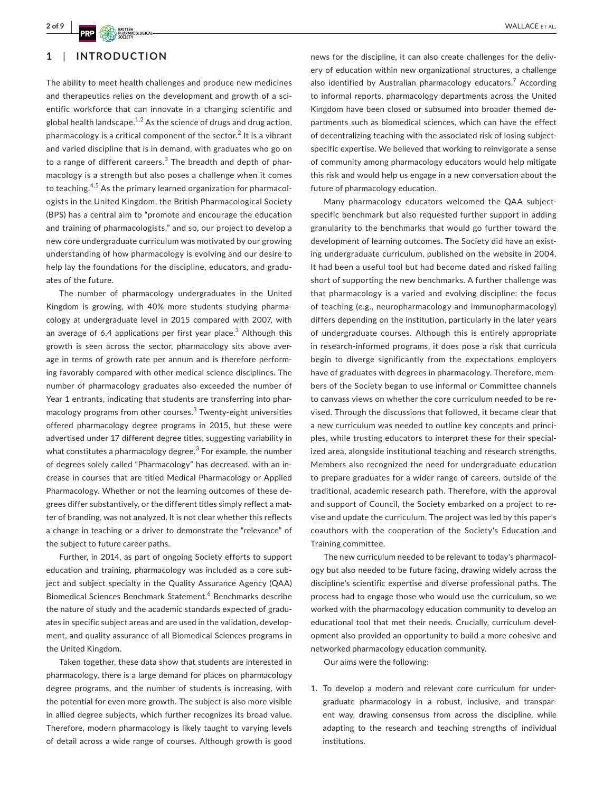# **1**  | **INTRODUCTION**

The ability to meet health challenges and produce new medicines and therapeutics relies on the development and growth of a scientific workforce that can innovate in a changing scientific and global health landscape.<sup>1,2</sup> As the science of drugs and drug action, pharmacology is a critical component of the sector. $^2$  It is a vibrant and varied discipline that is in demand, with graduates who go on to a range of different careers.<sup>3</sup> The breadth and depth of pharmacology is a strength but also poses a challenge when it comes to teaching.<sup>4,5</sup> As the primary learned organization for pharmacologists in the United Kingdom, the British Pharmacological Society (BPS) has a central aim to "promote and encourage the education and training of pharmacologists," and so, our project to develop a new core undergraduate curriculum was motivated by our growing understanding of how pharmacology is evolving and our desire to help lay the foundations for the discipline, educators, and graduates of the future.

The number of pharmacology undergraduates in the United Kingdom is growing, with 40% more students studying pharmacology at undergraduate level in 2015 compared with 2007, with an average of 6.4 applications per first year place.<sup>3</sup> Although this growth is seen across the sector, pharmacology sits above average in terms of growth rate per annum and is therefore performing favorably compared with other medical science disciplines. The number of pharmacology graduates also exceeded the number of Year 1 entrants, indicating that students are transferring into pharmacology programs from other courses. $3$  Twenty-eight universities offered pharmacology degree programs in 2015, but these were advertised under 17 different degree titles, suggesting variability in what constitutes a pharmacology degree. $3$  For example, the number of degrees solely called "Pharmacology" has decreased, with an increase in courses that are titled Medical Pharmacology or Applied Pharmacology. Whether or not the learning outcomes of these degrees differ substantively, or the different titles simply reflect a matter of branding, was not analyzed. It is not clear whether this reflects a change in teaching or a driver to demonstrate the "relevance" of the subject to future career paths.

Further, in 2014, as part of ongoing Society efforts to support education and training, pharmacology was included as a core subject and subject specialty in the Quality Assurance Agency (QAA) Biomedical Sciences Benchmark Statement.<sup>6</sup> Benchmarks describe the nature of study and the academic standards expected of graduates in specific subject areas and are used in the validation, development, and quality assurance of all Biomedical Sciences programs in the United Kingdom.

Taken together, these data show that students are interested in pharmacology, there is a large demand for places on pharmacology degree programs, and the number of students is increasing, with the potential for even more growth. The subject is also more visible in allied degree subjects, which further recognizes its broad value. Therefore, modern pharmacology is likely taught to varying levels of detail across a wide range of courses. Although growth is good

news for the discipline, it can also create challenges for the delivery of education within new organizational structures, a challenge also identified by Australian pharmacology educators.<sup>7</sup> According to informal reports, pharmacology departments across the United Kingdom have been closed or subsumed into broader themed departments such as biomedical sciences, which can have the effect of decentralizing teaching with the associated risk of losing subjectspecific expertise. We believed that working to reinvigorate a sense of community among pharmacology educators would help mitigate this risk and would help us engage in a new conversation about the future of pharmacology education.

Many pharmacology educators welcomed the QAA subjectspecific benchmark but also requested further support in adding granularity to the benchmarks that would go further toward the development of learning outcomes. The Society did have an existing undergraduate curriculum, published on the website in 2004. It had been a useful tool but had become dated and risked falling short of supporting the new benchmarks. A further challenge was that pharmacology is a varied and evolving discipline: the focus of teaching (e.g., neuropharmacology and immunopharmacology) differs depending on the institution, particularly in the later years of undergraduate courses. Although this is entirely appropriate in research-informed programs, it does pose a risk that curricula begin to diverge significantly from the expectations employers have of graduates with degrees in pharmacology. Therefore, members of the Society began to use informal or Committee channels to canvass views on whether the core curriculum needed to be revised. Through the discussions that followed, it became clear that a new curriculum was needed to outline key concepts and principles, while trusting educators to interpret these for their specialized area, alongside institutional teaching and research strengths. Members also recognized the need for undergraduate education to prepare graduates for a wider range of careers, outside of the traditional, academic research path. Therefore, with the approval and support of Council, the Society embarked on a project to revise and update the curriculum. The project was led by this paper's coauthors with the cooperation of the Society's Education and Training committee.

The new curriculum needed to be relevant to today's pharmacology but also needed to be future facing, drawing widely across the discipline's scientific expertise and diverse professional paths. The process had to engage those who would use the curriculum, so we worked with the pharmacology education community to develop an educational tool that met their needs. Crucially, curriculum development also provided an opportunity to build a more cohesive and networked pharmacology education community.

Our aims were the following:

1. To develop a modern and relevant core curriculum for undergraduate pharmacology in a robust, inclusive, and transparent way, drawing consensus from across the discipline, while adapting to the research and teaching strengths of individual institutions.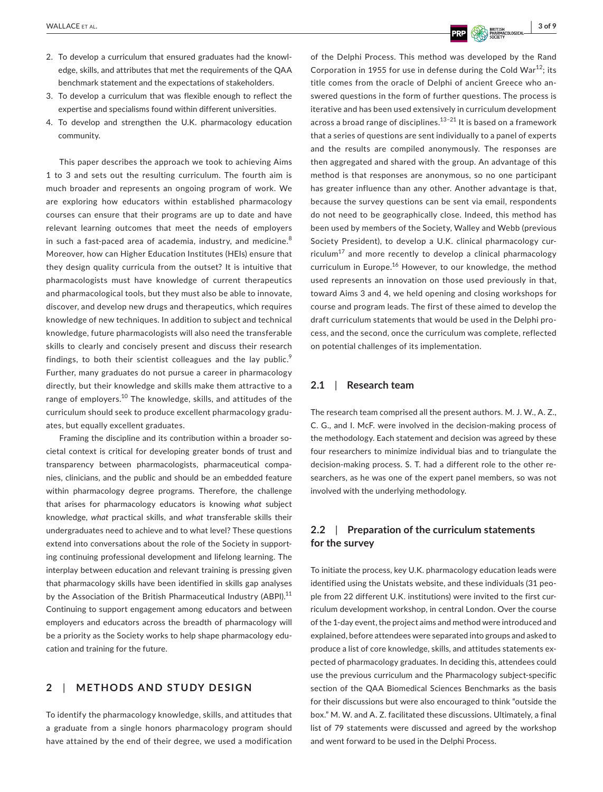- 2. To develop a curriculum that ensured graduates had the knowledge, skills, and attributes that met the requirements of the QAA benchmark statement and the expectations of stakeholders.
- 3. To develop a curriculum that was flexible enough to reflect the expertise and specialisms found within different universities.
- 4. To develop and strengthen the U.K. pharmacology education community.

This paper describes the approach we took to achieving Aims 1 to 3 and sets out the resulting curriculum. The fourth aim is much broader and represents an ongoing program of work. We are exploring how educators within established pharmacology courses can ensure that their programs are up to date and have relevant learning outcomes that meet the needs of employers in such a fast-paced area of academia, industry, and medicine.<sup>8</sup> Moreover, how can Higher Education Institutes (HEIs) ensure that they design quality curricula from the outset? It is intuitive that pharmacologists must have knowledge of current therapeutics and pharmacological tools, but they must also be able to innovate, discover, and develop new drugs and therapeutics, which requires knowledge of new techniques. In addition to subject and technical knowledge, future pharmacologists will also need the transferable skills to clearly and concisely present and discuss their research findings, to both their scientist colleagues and the lay public.<sup>9</sup> Further, many graduates do not pursue a career in pharmacology directly, but their knowledge and skills make them attractive to a range of employers.<sup>10</sup> The knowledge, skills, and attitudes of the curriculum should seek to produce excellent pharmacology graduates, but equally excellent graduates.

Framing the discipline and its contribution within a broader societal context is critical for developing greater bonds of trust and transparency between pharmacologists, pharmaceutical companies, clinicians, and the public and should be an embedded feature within pharmacology degree programs. Therefore, the challenge that arises for pharmacology educators is knowing *what* subject knowledge, *what* practical skills, and *what* transferable skills their undergraduates need to achieve and to what level? These questions extend into conversations about the role of the Society in supporting continuing professional development and lifelong learning. The interplay between education and relevant training is pressing given that pharmacology skills have been identified in skills gap analyses by the Association of the British Pharmaceutical Industry (ABPI).<sup>11</sup> Continuing to support engagement among educators and between employers and educators across the breadth of pharmacology will be a priority as the Society works to help shape pharmacology education and training for the future.

# **2**  | **METHODS AND STUDY DESIGN**

To identify the pharmacology knowledge, skills, and attitudes that a graduate from a single honors pharmacology program should have attained by the end of their degree, we used a modification

of the Delphi Process. This method was developed by the Rand Corporation in 1955 for use in defense during the Cold War<sup>12</sup>; its title comes from the oracle of Delphi of ancient Greece who answered questions in the form of further questions. The process is iterative and has been used extensively in curriculum development across a broad range of disciplines. $13-21$  It is based on a framework that a series of questions are sent individually to a panel of experts and the results are compiled anonymously. The responses are then aggregated and shared with the group. An advantage of this method is that responses are anonymous, so no one participant has greater influence than any other. Another advantage is that, because the survey questions can be sent via email, respondents do not need to be geographically close. Indeed, this method has been used by members of the Society, Walley and Webb (previous Society President), to develop a U.K. clinical pharmacology curriculum $^{17}$  and more recently to develop a clinical pharmacology curriculum in Europe.16 However, to our knowledge, the method used represents an innovation on those used previously in that, toward Aims 3 and 4, we held opening and closing workshops for course and program leads. The first of these aimed to develop the draft curriculum statements that would be used in the Delphi process, and the second, once the curriculum was complete, reflected on potential challenges of its implementation.

## **2.1**  | **Research team**

The research team comprised all the present authors. M. J. W., A. Z., C. G., and I. McF. were involved in the decision-making process of the methodology. Each statement and decision was agreed by these four researchers to minimize individual bias and to triangulate the decision-making process. S. T. had a different role to the other researchers, as he was one of the expert panel members, so was not involved with the underlying methodology.

# **2.2**  | **Preparation of the curriculum statements for the survey**

To initiate the process, key U.K. pharmacology education leads were identified using the Unistats website, and these individuals (31 people from 22 different U.K. institutions) were invited to the first curriculum development workshop, in central London. Over the course of the 1-day event, the project aims and method were introduced and explained, before attendees were separated into groups and asked to produce a list of core knowledge, skills, and attitudes statements expected of pharmacology graduates. In deciding this, attendees could use the previous curriculum and the Pharmacology subject-specific section of the QAA Biomedical Sciences Benchmarks as the basis for their discussions but were also encouraged to think "outside the box." M. W. and A. Z. facilitated these discussions. Ultimately, a final list of 79 statements were discussed and agreed by the workshop and went forward to be used in the Delphi Process.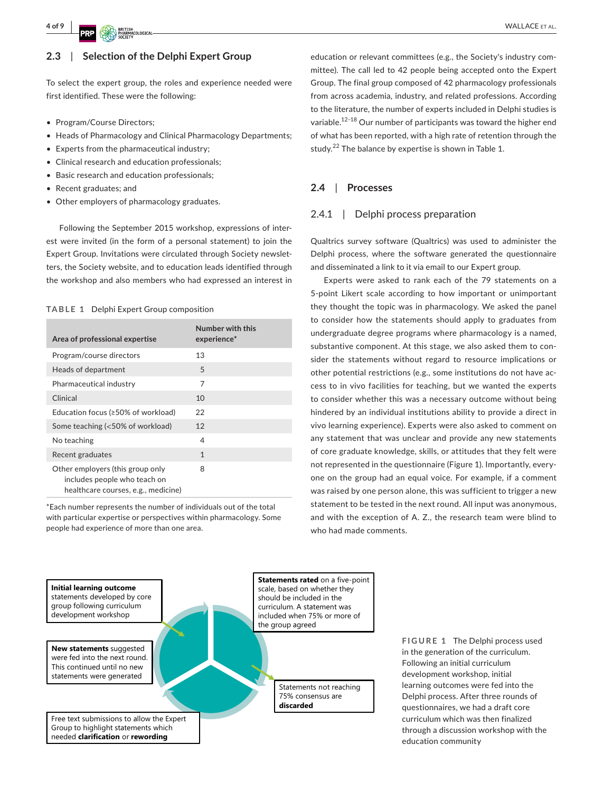## **2.3**  | **Selection of the Delphi Expert Group**

To select the expert group, the roles and experience needed were first identified. These were the following:

- Program/Course Directors;
- Heads of Pharmacology and Clinical Pharmacology Departments;
- Experts from the pharmaceutical industry;
- Clinical research and education professionals;
- Basic research and education professionals;
- Recent graduates; and
- Other employers of pharmacology graduates.

Following the September 2015 workshop, expressions of interest were invited (in the form of a personal statement) to join the Expert Group. Invitations were circulated through Society newsletters, the Society website, and to education leads identified through the workshop and also members who had expressed an interest in

### **TABLE 1** Delphi Expert Group composition

| Area of professional expertise                                                                          | Number with this<br>experience* |
|---------------------------------------------------------------------------------------------------------|---------------------------------|
| Program/course directors                                                                                | 13                              |
| Heads of department                                                                                     | 5                               |
| Pharmaceutical industry                                                                                 | 7                               |
| Clinical                                                                                                | 10                              |
| Education focus (≥50% of workload)                                                                      | 22                              |
| Some teaching (<50% of workload)                                                                        | 12                              |
| No teaching                                                                                             | 4                               |
| Recent graduates                                                                                        | $\mathbf{1}$                    |
| Other employers (this group only<br>includes people who teach on<br>healthcare courses, e.g., medicine) | 8                               |

\*Each number represents the number of individuals out of the total with particular expertise or perspectives within pharmacology. Some people had experience of more than one area.

education or relevant committees (e.g., the Society's industry committee). The call led to 42 people being accepted onto the Expert Group. The final group composed of 42 pharmacology professionals from across academia, industry, and related professions. According to the literature, the number of experts included in Delphi studies is variable.<sup>12–18</sup> Our number of participants was toward the higher end of what has been reported, with a high rate of retention through the study.<sup>22</sup> The balance by expertise is shown in Table 1.

#### **2.4**  | **Processes**

## 2.4.1 | Delphi process preparation

Qualtrics survey software (Qualtrics) was used to administer the Delphi process, where the software generated the questionnaire and disseminated a link to it via email to our Expert group.

Experts were asked to rank each of the 79 statements on a 5-point Likert scale according to how important or unimportant they thought the topic was in pharmacology. We asked the panel to consider how the statements should apply to graduates from undergraduate degree programs where pharmacology is a named, substantive component. At this stage, we also asked them to consider the statements without regard to resource implications or other potential restrictions (e.g., some institutions do not have access to in vivo facilities for teaching, but we wanted the experts to consider whether this was a necessary outcome without being hindered by an individual institutions ability to provide a direct in vivo learning experience). Experts were also asked to comment on any statement that was unclear and provide any new statements of core graduate knowledge, skills, or attitudes that they felt were not represented in the questionnaire (Figure 1). Importantly, everyone on the group had an equal voice. For example, if a comment was raised by one person alone, this was sufficient to trigger a new statement to be tested in the next round. All input was anonymous, and with the exception of A. Z., the research team were blind to who had made comments.



**FIGURE 1** The Delphi process used in the generation of the curriculum. Following an initial curriculum development workshop, initial learning outcomes were fed into the Delphi process. After three rounds of questionnaires, we had a draft core curriculum which was then finalized through a discussion workshop with the education community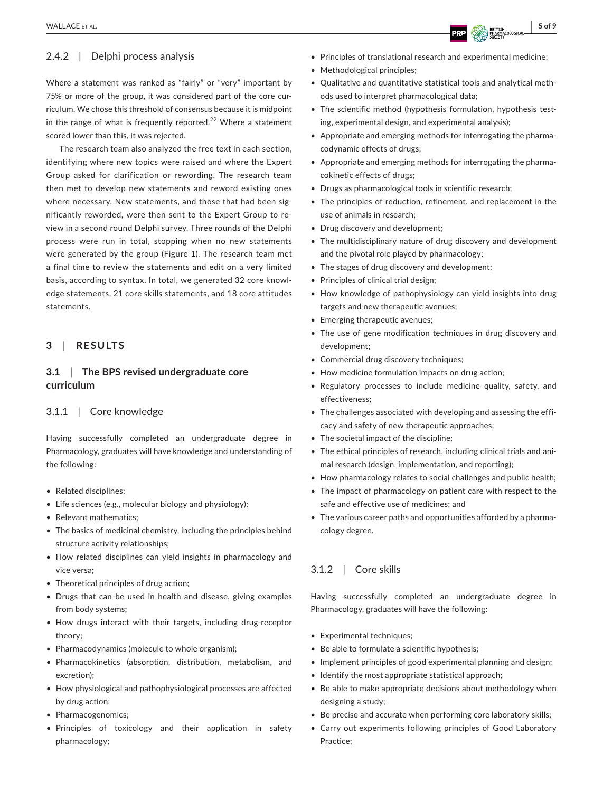## 2.4.2 | Delphi process analysis

Where a statement was ranked as "fairly" or "very" important by 75% or more of the group, it was considered part of the core curriculum. We chose this threshold of consensus because it is midpoint in the range of what is frequently reported.<sup>22</sup> Where a statement scored lower than this, it was rejected.

The research team also analyzed the free text in each section, identifying where new topics were raised and where the Expert Group asked for clarification or rewording. The research team then met to develop new statements and reword existing ones where necessary. New statements, and those that had been significantly reworded, were then sent to the Expert Group to review in a second round Delphi survey. Three rounds of the Delphi process were run in total, stopping when no new statements were generated by the group (Figure 1). The research team met a final time to review the statements and edit on a very limited basis, according to syntax. In total, we generated 32 core knowledge statements, 21 core skills statements, and 18 core attitudes statements.

## **3**  | **RESULTS**

## **3.1**  | **The BPS revised undergraduate core curriculum**

### 3.1.1 | Core knowledge

Having successfully completed an undergraduate degree in Pharmacology, graduates will have knowledge and understanding of the following:

- Related disciplines;
- Life sciences (e.g., molecular biology and physiology);
- Relevant mathematics;
- The basics of medicinal chemistry, including the principles behind structure activity relationships;
- How related disciplines can yield insights in pharmacology and vice versa;
- Theoretical principles of drug action;
- Drugs that can be used in health and disease, giving examples from body systems;
- How drugs interact with their targets, including drug-receptor theory;
- Pharmacodynamics (molecule to whole organism);
- • Pharmacokinetics (absorption, distribution, metabolism, and excretion);
- How physiological and pathophysiological processes are affected by drug action;
- Pharmacogenomics;
- Principles of toxicology and their application in safety pharmacology;
- Principles of translational research and experimental medicine;
- Methodological principles;
- • Qualitative and quantitative statistical tools and analytical methods used to interpret pharmacological data;
- The scientific method (hypothesis formulation, hypothesis testing, experimental design, and experimental analysis);
- • Appropriate and emerging methods for interrogating the pharmacodynamic effects of drugs;
- • Appropriate and emerging methods for interrogating the pharmacokinetic effects of drugs;
- Drugs as pharmacological tools in scientific research;
- The principles of reduction, refinement, and replacement in the use of animals in research;
- Drug discovery and development;
- The multidisciplinary nature of drug discovery and development and the pivotal role played by pharmacology;
- The stages of drug discovery and development;
- Principles of clinical trial design;
- How knowledge of pathophysiology can yield insights into drug targets and new therapeutic avenues;
- Emerging therapeutic avenues;
- The use of gene modification techniques in drug discovery and development;
- • Commercial drug discovery techniques;
- How medicine formulation impacts on drug action;
- Regulatory processes to include medicine quality, safety, and effectiveness;
- The challenges associated with developing and assessing the efficacy and safety of new therapeutic approaches;
- The societal impact of the discipline;
- The ethical principles of research, including clinical trials and animal research (design, implementation, and reporting);
- How pharmacology relates to social challenges and public health;
- The impact of pharmacology on patient care with respect to the safe and effective use of medicines; and
- The various career paths and opportunities afforded by a pharmacology degree.

## 3.1.2 | Core skills

Having successfully completed an undergraduate degree in Pharmacology, graduates will have the following:

- Experimental techniques;
- Be able to formulate a scientific hypothesis;
- Implement principles of good experimental planning and design;
- Identify the most appropriate statistical approach;
- Be able to make appropriate decisions about methodology when designing a study;
- Be precise and accurate when performing core laboratory skills;
- Carry out experiments following principles of Good Laboratory Practice;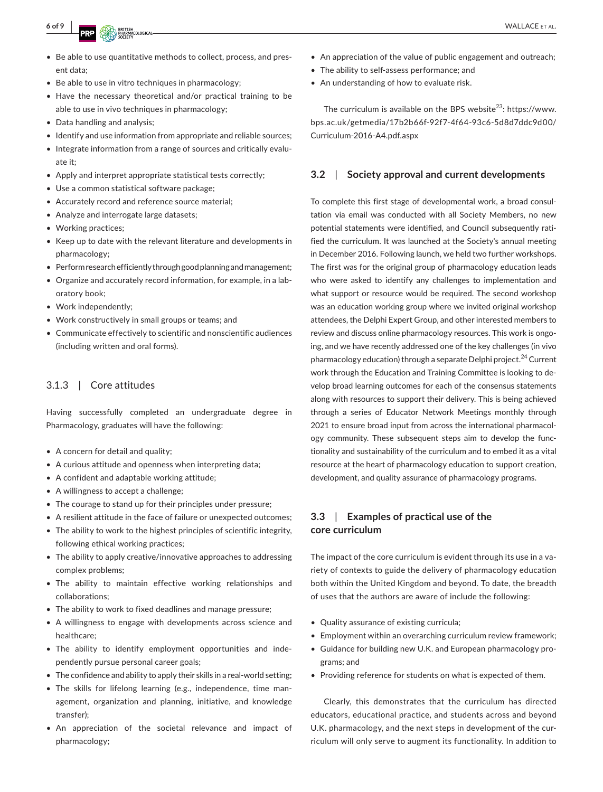- Be able to use quantitative methods to collect, process, and present data;
- Be able to use in vitro techniques in pharmacology:
- Have the necessary theoretical and/or practical training to be able to use in vivo techniques in pharmacology;
- Data handling and analysis;
- Identify and use information from appropriate and reliable sources;
- Integrate information from a range of sources and critically evaluate it;
- Apply and interpret appropriate statistical tests correctly;
- Use a common statistical software package;
- Accurately record and reference source material;
- Analyze and interrogate large datasets;
- Working practices;
- • Keep up to date with the relevant literature and developments in pharmacology;
- Perform research efficiently through good planning and management;
- Organize and accurately record information, for example, in a laboratory book;
- Work independently;
- • Work constructively in small groups or teams; and
- Communicate effectively to scientific and nonscientific audiences (including written and oral forms).

## 3.1.3 | Core attitudes

Having successfully completed an undergraduate degree in Pharmacology, graduates will have the following:

- A concern for detail and quality;
- A curious attitude and openness when interpreting data;
- A confident and adaptable working attitude;
- A willingness to accept a challenge;
- The courage to stand up for their principles under pressure;
- A resilient attitude in the face of failure or unexpected outcomes;
- The ability to work to the highest principles of scientific integrity, following ethical working practices;
- The ability to apply creative/innovative approaches to addressing complex problems;
- The ability to maintain effective working relationships and collaborations;
- The ability to work to fixed deadlines and manage pressure;
- A willingness to engage with developments across science and healthcare;
- The ability to identify employment opportunities and independently pursue personal career goals;
- The confidence and ability to apply their skills in a real-world setting;
- The skills for lifelong learning (e.g., independence, time management, organization and planning, initiative, and knowledge transfer);
- An appreciation of the societal relevance and impact of pharmacology;
- An appreciation of the value of public engagement and outreach;
- The ability to self-assess performance; and
- An understanding of how to evaluate risk.

The curriculum is available on the BPS website<sup>23</sup>: [https://www.](https://www.bps.ac.uk/getmedia/17b2b66f-92f7-4f64-93c6-5d8d7ddc9d00/Curriculum-2016-A4.pdf.aspx) [bps.ac.uk/getmedia/17b2b66f-92f7-4f64-93c6-5d8d7ddc9d00/](https://www.bps.ac.uk/getmedia/17b2b66f-92f7-4f64-93c6-5d8d7ddc9d00/Curriculum-2016-A4.pdf.aspx) [Curriculum-2016-A4.pdf.aspx](https://www.bps.ac.uk/getmedia/17b2b66f-92f7-4f64-93c6-5d8d7ddc9d00/Curriculum-2016-A4.pdf.aspx)

#### **3.2**  | **Society approval and current developments**

To complete this first stage of developmental work, a broad consultation via email was conducted with all Society Members, no new potential statements were identified, and Council subsequently ratified the curriculum. It was launched at the Society's annual meeting in December 2016. Following launch, we held two further workshops. The first was for the original group of pharmacology education leads who were asked to identify any challenges to implementation and what support or resource would be required. The second workshop was an education working group where we invited original workshop attendees, the Delphi Expert Group, and other interested members to review and discuss online pharmacology resources. This work is ongoing, and we have recently addressed one of the key challenges (in vivo pharmacology education) through a separate Delphi project.<sup>24</sup> Current work through the Education and Training Committee is looking to develop broad learning outcomes for each of the consensus statements along with resources to support their delivery. This is being achieved through a series of Educator Network Meetings monthly through 2021 to ensure broad input from across the international pharmacology community. These subsequent steps aim to develop the functionality and sustainability of the curriculum and to embed it as a vital resource at the heart of pharmacology education to support creation, development, and quality assurance of pharmacology programs.

## **3.3**  | **Examples of practical use of the core curriculum**

The impact of the core curriculum is evident through its use in a variety of contexts to guide the delivery of pharmacology education both within the United Kingdom and beyond. To date, the breadth of uses that the authors are aware of include the following:

- Quality assurance of existing curricula;
- Employment within an overarching curriculum review framework;
- Guidance for building new U.K. and European pharmacology programs; and
- Providing reference for students on what is expected of them.

Clearly, this demonstrates that the curriculum has directed educators, educational practice, and students across and beyond U.K. pharmacology, and the next steps in development of the curriculum will only serve to augment its functionality. In addition to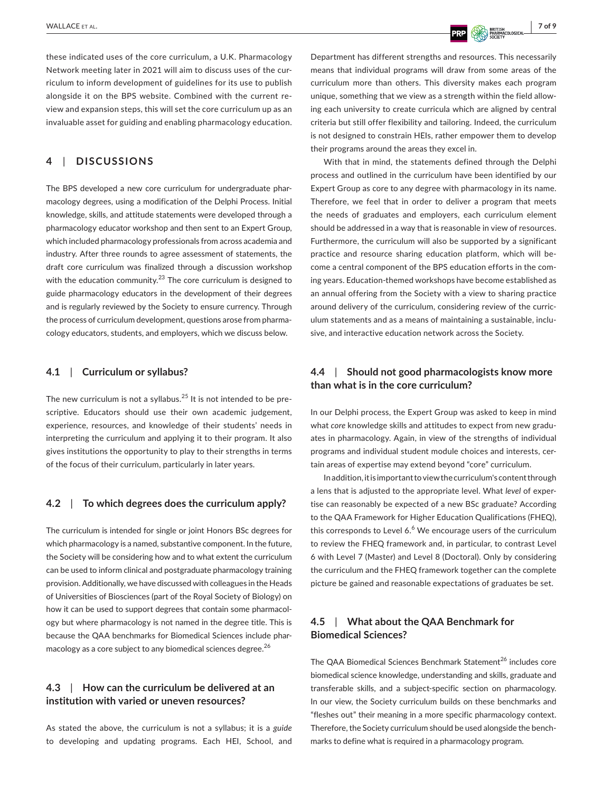these indicated uses of the core curriculum, a U.K. Pharmacology Network meeting later in 2021 will aim to discuss uses of the curriculum to inform development of guidelines for its use to publish alongside it on the BPS website. Combined with the current review and expansion steps, this will set the core curriculum up as an invaluable asset for guiding and enabling pharmacology education.

## **4**  | **DISCUSSIONS**

The BPS developed a new core curriculum for undergraduate pharmacology degrees, using a modification of the Delphi Process. Initial knowledge, skills, and attitude statements were developed through a pharmacology educator workshop and then sent to an Expert Group, which included pharmacology professionals from across academia and industry. After three rounds to agree assessment of statements, the draft core curriculum was finalized through a discussion workshop with the education community.<sup>23</sup> The core curriculum is designed to guide pharmacology educators in the development of their degrees and is regularly reviewed by the Society to ensure currency. Through the process of curriculum development, questions arose from pharmacology educators, students, and employers, which we discuss below.

#### **4.1**  | **Curriculum or syllabus?**

The new curriculum is not a syllabus.<sup>25</sup> It is not intended to be prescriptive. Educators should use their own academic judgement, experience, resources, and knowledge of their students' needs in interpreting the curriculum and applying it to their program. It also gives institutions the opportunity to play to their strengths in terms of the focus of their curriculum, particularly in later years.

#### **4.2**  | **To which degrees does the curriculum apply?**

The curriculum is intended for single or joint Honors BSc degrees for which pharmacology is a named, substantive component. In the future, the Society will be considering how and to what extent the curriculum can be used to inform clinical and postgraduate pharmacology training provision. Additionally, we have discussed with colleagues in the Heads of Universities of Biosciences (part of the Royal Society of Biology) on how it can be used to support degrees that contain some pharmacology but where pharmacology is not named in the degree title. This is because the QAA benchmarks for Biomedical Sciences include pharmacology as a core subject to any biomedical sciences degree.<sup>26</sup>

# **4.3**  | **How can the curriculum be delivered at an institution with varied or uneven resources?**

As stated the above, the curriculum is not a syllabus; it is a *guide* to developing and updating programs. Each HEI, School, and

Department has different strengths and resources. This necessarily means that individual programs will draw from some areas of the curriculum more than others. This diversity makes each program unique, something that we view as a strength within the field allowing each university to create curricula which are aligned by central criteria but still offer flexibility and tailoring. Indeed, the curriculum is not designed to constrain HEIs, rather empower them to develop their programs around the areas they excel in.

With that in mind, the statements defined through the Delphi process and outlined in the curriculum have been identified by our Expert Group as core to any degree with pharmacology in its name. Therefore, we feel that in order to deliver a program that meets the needs of graduates and employers, each curriculum element should be addressed in a way that is reasonable in view of resources. Furthermore, the curriculum will also be supported by a significant practice and resource sharing education platform, which will become a central component of the BPS education efforts in the coming years. Education-themed workshops have become established as an annual offering from the Society with a view to sharing practice around delivery of the curriculum, considering review of the curriculum statements and as a means of maintaining a sustainable, inclusive, and interactive education network across the Society.

## **4.4**  | **Should not good pharmacologists know more than what is in the core curriculum?**

In our Delphi process, the Expert Group was asked to keep in mind what *core* knowledge skills and attitudes to expect from new graduates in pharmacology. Again, in view of the strengths of individual programs and individual student module choices and interests, certain areas of expertise may extend beyond "core" curriculum.

Inaddition, itis importanttoviewthecurriculum's contentthrough a lens that is adjusted to the appropriate level. What *level* of expertise can reasonably be expected of a new BSc graduate? According to the QAA Framework for Higher Education Qualifications (FHEQ), this corresponds to Level 6. $<sup>6</sup>$  We encourage users of the curriculum</sup> to review the FHEQ framework and, in particular, to contrast Level 6 with Level 7 (Master) and Level 8 (Doctoral). Only by considering the curriculum and the FHEQ framework together can the complete picture be gained and reasonable expectations of graduates be set.

## **4.5**  | **What about the QAA Benchmark for Biomedical Sciences?**

The QAA Biomedical Sciences Benchmark Statement<sup>26</sup> includes core biomedical science knowledge, understanding and skills, graduate and transferable skills, and a subject-specific section on pharmacology. In our view, the Society curriculum builds on these benchmarks and "fleshes out" their meaning in a more specific pharmacology context. Therefore, the Society curriculum should be used alongside the benchmarks to define what is required in a pharmacology program.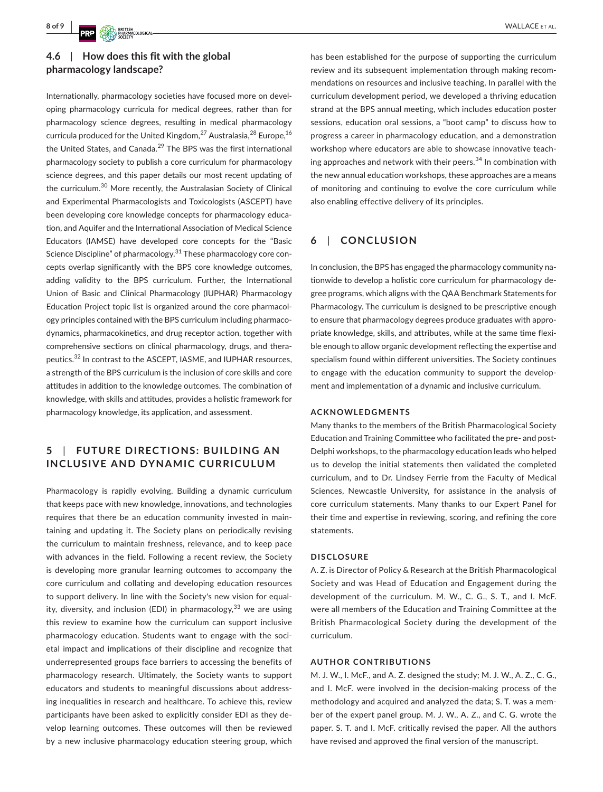# **4.6**  | **How does this fit with the global pharmacology landscape?**

Internationally, pharmacology societies have focused more on developing pharmacology curricula for medical degrees, rather than for pharmacology science degrees, resulting in medical pharmacology curricula produced for the United Kingdom, $^{27}$  Australasia, $^{28}$  Europe,  $^{16}$ the United States, and Canada.<sup>29</sup> The BPS was the first international pharmacology society to publish a core curriculum for pharmacology science degrees, and this paper details our most recent updating of the curriculum.<sup>30</sup> More recently, the Australasian Society of Clinical and Experimental Pharmacologists and Toxicologists (ASCEPT) have been developing core knowledge concepts for pharmacology education, and Aquifer and the International Association of Medical Science Educators (IAMSE) have developed core concepts for the "Basic Science Discipline" of pharmacology.<sup>31</sup> These pharmacology core concepts overlap significantly with the BPS core knowledge outcomes, adding validity to the BPS curriculum. Further, the International Union of Basic and Clinical Pharmacology (IUPHAR) Pharmacology Education Project topic list is organized around the core pharmacology principles contained with the BPS curriculum including pharmacodynamics, pharmacokinetics, and drug receptor action, together with comprehensive sections on clinical pharmacology, drugs, and therapeutics.<sup>32</sup> In contrast to the ASCEPT, IASME, and IUPHAR resources, a strength of the BPS curriculum is the inclusion of core skills and core attitudes in addition to the knowledge outcomes. The combination of knowledge, with skills and attitudes, provides a holistic framework for pharmacology knowledge, its application, and assessment.

# **5**  | **FUTURE DIREC TIONS: BUILDING AN INCLUSIVE AND DYNAMIC CURRICULUM**

Pharmacology is rapidly evolving. Building a dynamic curriculum that keeps pace with new knowledge, innovations, and technologies requires that there be an education community invested in maintaining and updating it. The Society plans on periodically revising the curriculum to maintain freshness, relevance, and to keep pace with advances in the field. Following a recent review, the Society is developing more granular learning outcomes to accompany the core curriculum and collating and developing education resources to support delivery. In line with the Society's new vision for equality, diversity, and inclusion (EDI) in pharmacology,  $33$  we are using this review to examine how the curriculum can support inclusive pharmacology education. Students want to engage with the societal impact and implications of their discipline and recognize that underrepresented groups face barriers to accessing the benefits of pharmacology research. Ultimately, the Society wants to support educators and students to meaningful discussions about addressing inequalities in research and healthcare. To achieve this, review participants have been asked to explicitly consider EDI as they develop learning outcomes. These outcomes will then be reviewed by a new inclusive pharmacology education steering group, which

has been established for the purpose of supporting the curriculum review and its subsequent implementation through making recommendations on resources and inclusive teaching. In parallel with the curriculum development period, we developed a thriving education strand at the BPS annual meeting, which includes education poster sessions, education oral sessions, a "boot camp" to discuss how to progress a career in pharmacology education, and a demonstration workshop where educators are able to showcase innovative teaching approaches and network with their peers.<sup>34</sup> In combination with the new annual education workshops, these approaches are a means of monitoring and continuing to evolve the core curriculum while also enabling effective delivery of its principles.

## **6**  | **CONCLUSION**

In conclusion, the BPS has engaged the pharmacology community nationwide to develop a holistic core curriculum for pharmacology degree programs, which aligns with the QAA Benchmark Statements for Pharmacology. The curriculum is designed to be prescriptive enough to ensure that pharmacology degrees produce graduates with appropriate knowledge, skills, and attributes, while at the same time flexible enough to allow organic development reflecting the expertise and specialism found within different universities. The Society continues to engage with the education community to support the development and implementation of a dynamic and inclusive curriculum.

#### **ACKNOWLEDGMENTS**

Many thanks to the members of the British Pharmacological Society Education and Training Committee who facilitated the pre- and post-Delphi workshops, to the pharmacology education leads who helped us to develop the initial statements then validated the completed curriculum, and to Dr. Lindsey Ferrie from the Faculty of Medical Sciences, Newcastle University, for assistance in the analysis of core curriculum statements. Many thanks to our Expert Panel for their time and expertise in reviewing, scoring, and refining the core statements.

#### **DISCLOSURE**

A. Z. is Director of Policy & Research at the British Pharmacological Society and was Head of Education and Engagement during the development of the curriculum. M. W., C. G., S. T., and I. McF. were all members of the Education and Training Committee at the British Pharmacological Society during the development of the curriculum.

#### **AUTHOR CONTRIBUTIONS**

M. J. W., I. McF., and A. Z. designed the study; M. J. W., A. Z., C. G., and I. McF. were involved in the decision-making process of the methodology and acquired and analyzed the data; S. T. was a member of the expert panel group. M. J. W., A. Z., and C. G. wrote the paper. S. T. and I. McF. critically revised the paper. All the authors have revised and approved the final version of the manuscript.